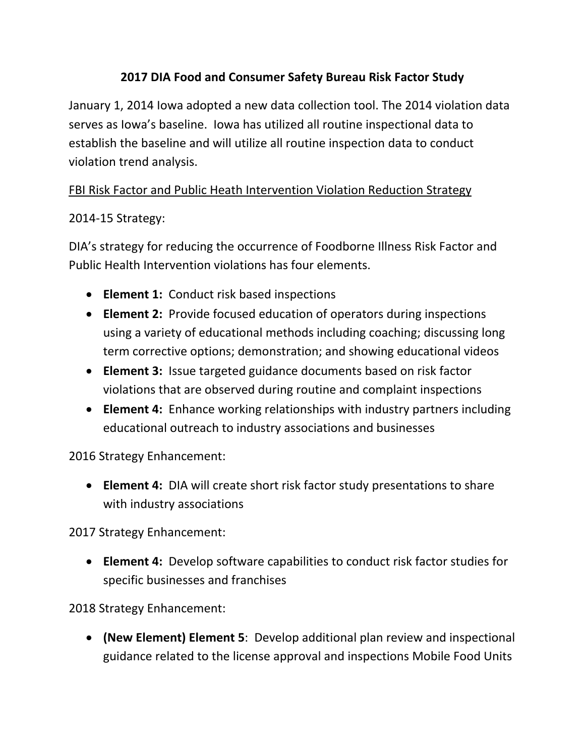## **2017 DIA Food and Consumer Safety Bureau Risk Factor Study**

January 1, 2014 Iowa adopted a new data collection tool. The 2014 violation data serves as Iowa's baseline. Iowa has utilized all routine inspectional data to establish the baseline and will utilize all routine inspection data to conduct violation trend analysis.

## FBI Risk Factor and Public Heath Intervention Violation Reduction Strategy

## 2014‐15 Strategy:

DIA's strategy for reducing the occurrence of Foodborne Illness Risk Factor and Public Health Intervention violations has four elements.

- **Element 1:** Conduct risk based inspections
- **Element 2:** Provide focused education of operators during inspections using a variety of educational methods including coaching; discussing long term corrective options; demonstration; and showing educational videos
- **Element 3:** Issue targeted guidance documents based on risk factor violations that are observed during routine and complaint inspections
- **Element 4:** Enhance working relationships with industry partners including educational outreach to industry associations and businesses

2016 Strategy Enhancement:

 **Element 4:** DIA will create short risk factor study presentations to share with industry associations

2017 Strategy Enhancement:

 **Element 4:** Develop software capabilities to conduct risk factor studies for specific businesses and franchises

2018 Strategy Enhancement:

 **(New Element) Element 5**: Develop additional plan review and inspectional guidance related to the license approval and inspections Mobile Food Units